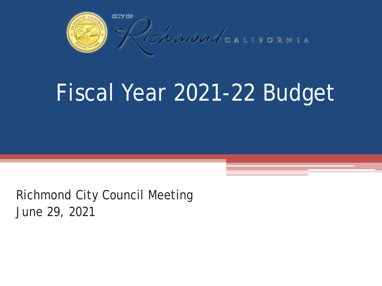

# Fiscal Year 2021-22 Budget

Richmond City Council Meeting June 29, 2021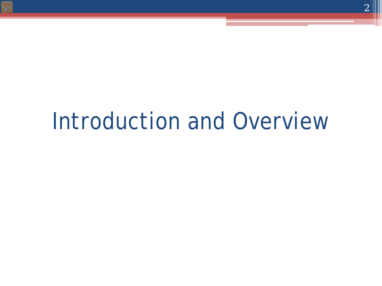# Introduction and Overview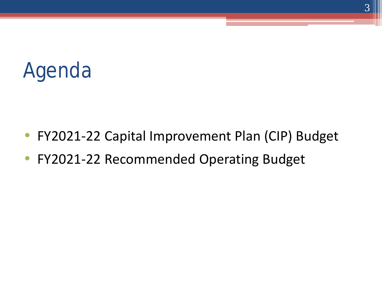

- FY2021-22 Capital Improvement Plan (CIP) Budget
- FY2021-22 Recommended Operating Budget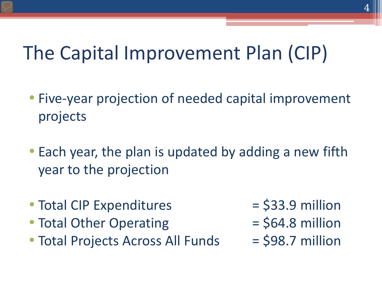### The Capital Improvement Plan (CIP)

- Five-year projection of needed capital improvement projects
- Each year, the plan is updated by adding a new fifth year to the projection
- Total CIP Expenditures  $=$  \$33.9 million
- Total Other Operating  $=$  \$64.8 million
- Total Projects Across All Funds  $=$  \$98.7 million
- 
- 
-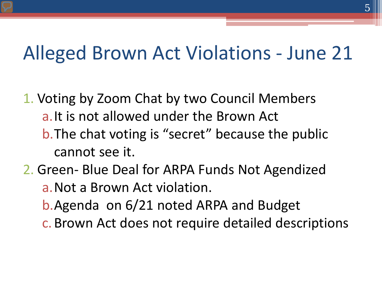#### Alleged Brown Act Violations - June 21

- 1. Voting by Zoom Chat by two Council Members a.It is not allowed under the Brown Act b. The chat voting is "secret" because the public cannot see it.
- 2. Green- Blue Deal for ARPA Funds Not Agendized
	- a.Not a Brown Act violation.
	- b.Agenda on 6/21 noted ARPA and Budget
	- c.Brown Act does not require detailed descriptions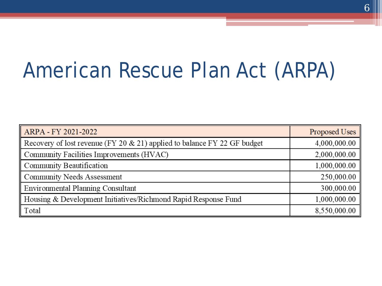# American Rescue Plan Act (ARPA)

| ARPA - FY 2021-2022                                                      | Proposed Uses |
|--------------------------------------------------------------------------|---------------|
| Recovery of lost revenue (FY 20 & 21) applied to balance FY 22 GF budget | 4,000,000.00  |
| Community Facilities Improvements (HVAC)                                 | 2,000,000.00  |
| Community Beautification                                                 | 1,000,000.00  |
| <b>Community Needs Assessment</b>                                        | 250,000.00    |
| <b>Environmental Planning Consultant</b>                                 | 300,000.00    |
| Housing & Development Initiatives/Richmond Rapid Response Fund           | 1,000,000.00  |
| Total                                                                    | 8,550,000.00  |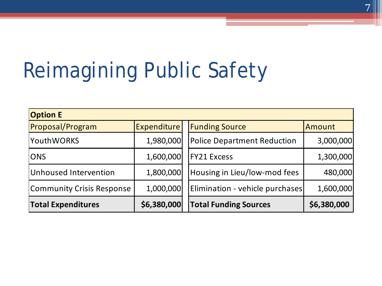# Reimagining Public Safety

| <b>Option E</b>           |                    |                                    |             |
|---------------------------|--------------------|------------------------------------|-------------|
| <b>Proposal/Program</b>   | <b>Expenditure</b> | <b>Funding Source</b>              | Amount      |
| <b>YouthWORKS</b>         | 1,980,000          | <b>Police Department Reduction</b> | 3,000,000   |
| <b>ONS</b>                | 1,600,000          | <b>FY21 Excess</b>                 | 1,300,000   |
| Unhoused Intervention     | 1,800,000          | Housing in Lieu/low-mod fees       | 480,000     |
| Community Crisis Response | 1,000,000          | Elimination - vehicle purchases    | 1,600,000   |
| <b>Total Expenditures</b> | \$6,380,000        | <b>Total Funding Sources</b>       | \$6,380,000 |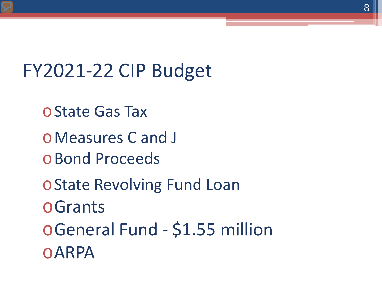FY2021-22 CIP Budget

oState Gas Tax

oMeasures C and J

oBond Proceeds

oState Revolving Fund Loan

oGrants

oGeneral Fund - \$1.55 million

oARPA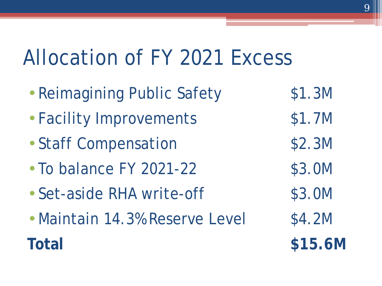## Allocation of FY 2021 Excess

- Reimagining Public Safety \$1.3M
- Facility Improvements \$1.7M
- Staff Compensation \$2.3M
- To balance FY 2021-22 \$3.0M
- Set-aside RHA write-off \$3.0M
- Maintain 14.3% Reserve Level \$4.2M **Total \$15.6M**
- 
- 
- 
- 
- 
- 
-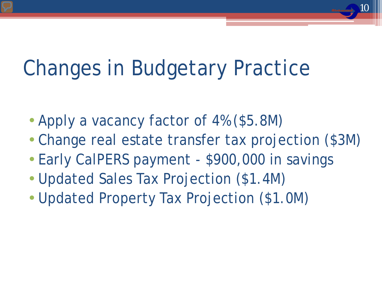# Changes in Budgetary Practice

- Apply a vacancy factor of 4% (\$5.8M)
- Change real estate transfer tax projection (\$3M)

- Early CalPERS payment \$900,000 in savings
- Updated Sales Tax Projection (\$1.4M)
- Updated Property Tax Projection (\$1.0M)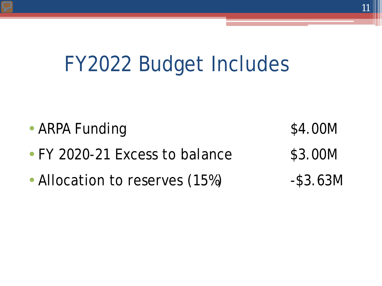## FY2022 Budget Includes



• Allocation to reserves (15%) - \$3.63M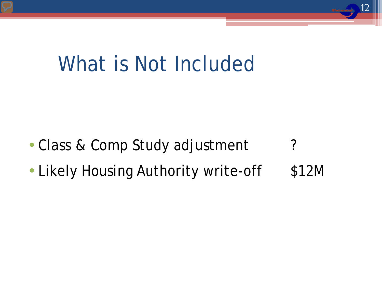## What is Not Included

- Class & Comp Study adjustment ?
- Likely Housing Authority write-off \$12M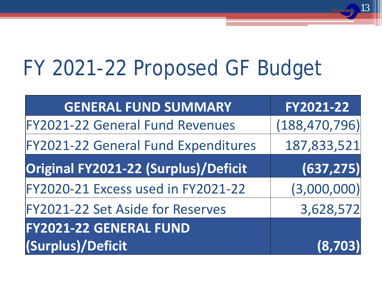# FY 2021-22 Proposed GF Budget

| <b>GENERAL FUND SUMMARY</b>                | FY2021-22       |
|--------------------------------------------|-----------------|
| <b>FY2021-22 General Fund Revenues</b>     | (188, 470, 796) |
| <b>FY2021-22 General Fund Expenditures</b> | 187,833,521     |
| Original FY2021-22 (Surplus)/Deficit       | (637, 275)      |
| FY2020-21 Excess used in FY2021-22         | (3,000,000)     |
| FY2021-22 Set Aside for Reserves           | 3,628,572       |
| <b>FY2021-22 GENERAL FUND</b>              |                 |
| (Surplus)/Deficit                          | (8,703)         |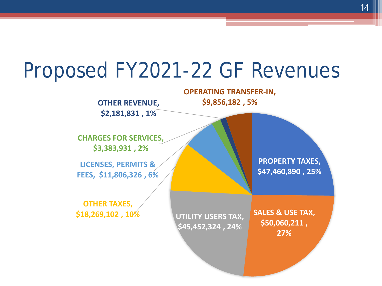### Proposed FY2021-22 GF Revenues

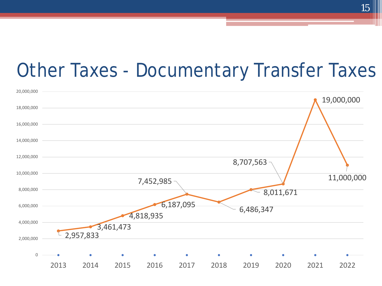#### Other Taxes - Documentary Transfer Taxes

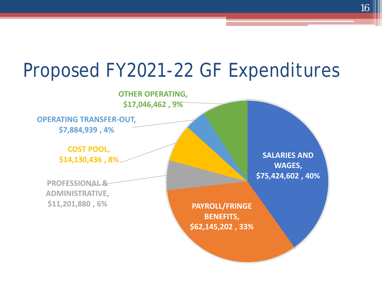#### Proposed FY2021-22 GF Expenditures

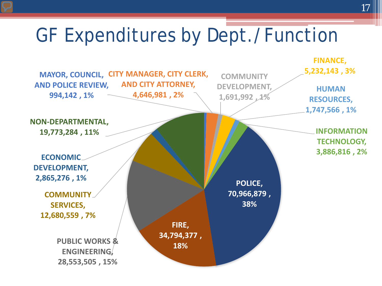### GF Expenditures by Dept./Function

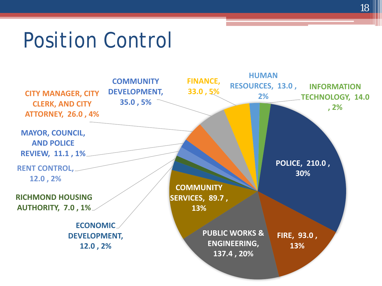## Position Control

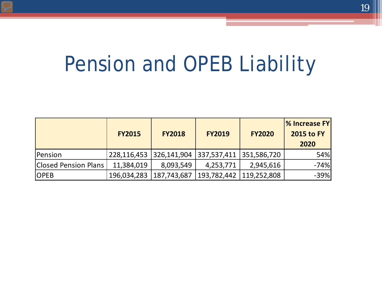# Pension and OPEB Liability

|                      | <b>FY2015</b> | <b>FY2018</b> | <b>FY2019</b>             | <b>FY2020</b> | $\%$ Increase FY<br><b>2015 to FY</b><br>2020 |
|----------------------|---------------|---------------|---------------------------|---------------|-----------------------------------------------|
| Pension              | 228,116,453   | 326,141,904   | 337,537,411   351,586,720 |               | 54%                                           |
| Closed Pension Plans | 11,384,019    | 8,093,549     | 4,253,771                 | 2,945,616     | -74%                                          |
| <b>OPEB</b>          | 196,034,283   | 187,743,687   | 193,782,442               | 119,252,808   | $-39%$                                        |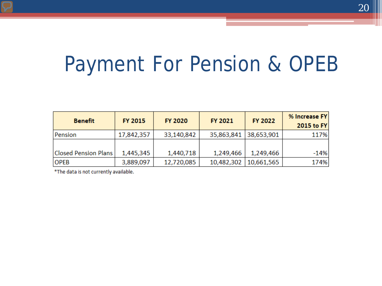# Payment For Pension & OPEB

| <b>Benefit</b>              | <b>FY 2015</b> | <b>FY 2020</b> | FY 2021    | <b>FY 2022</b> | % Increase FY<br>2015 to FY |
|-----------------------------|----------------|----------------|------------|----------------|-----------------------------|
| Pension                     | 17,842,357     | 33,140,842     | 35,863,841 | 38,653,901     | 117%                        |
|                             |                |                |            |                |                             |
| <b>Closed Pension Plans</b> | 1,445,345      | 1,440,718      | 1,249,466  | 1,249,466      | $-14%$                      |
| <b>OPEB</b>                 | 3,889,097      | 12,720,085     | 10,482,302 | 10,661,565     | 174%                        |

\*The data is not currently available.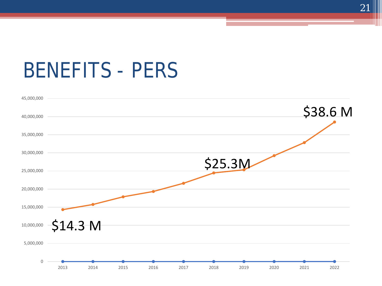### BENEFITS - PERS

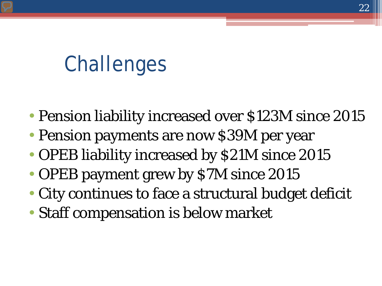# **Challenges**

- Pension liability increased over \$123M since 2015
- Pension payments are now \$39M per year
- OPEB liability increased by \$21M since 2015
- OPEB payment grew by \$7M since 2015
- City continues to face a structural budget deficit
- Staff compensation is below market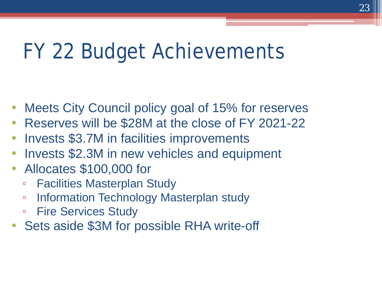# FY 22 Budget Achievements

- Meets City Council policy goal of 15% for reserves
- Reserves will be \$28M at the close of FY 2021-22
- Invests \$3.7M in facilities improvements
- Invests \$2.3M in new vehicles and equipment
- Allocates \$100,000 for
	- Facilities Masterplan Study
	- Information Technology Masterplan study
	- Fire Services Study
- Sets aside \$3M for possible RHA write-off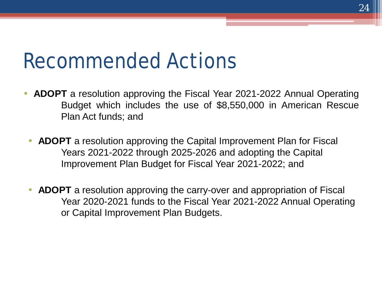### Recommended Actions

- **ADOPT** a resolution approving the Fiscal Year 2021-2022 Annual Operating Budget which includes the use of \$8,550,000 in American Rescue Plan Act funds; and
	- **ADOPT** a resolution approving the Capital Improvement Plan for Fiscal Years 2021-2022 through 2025-2026 and adopting the Capital Improvement Plan Budget for Fiscal Year 2021-2022; and
	- **ADOPT** a resolution approving the carry-over and appropriation of Fiscal Year 2020-2021 funds to the Fiscal Year 2021-2022 Annual Operating or Capital Improvement Plan Budgets.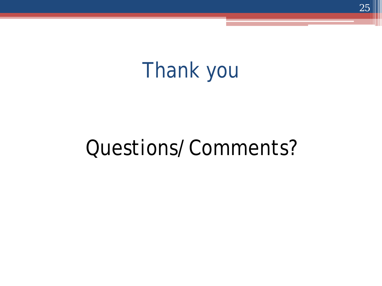# Thank you

## Questions/Comments?